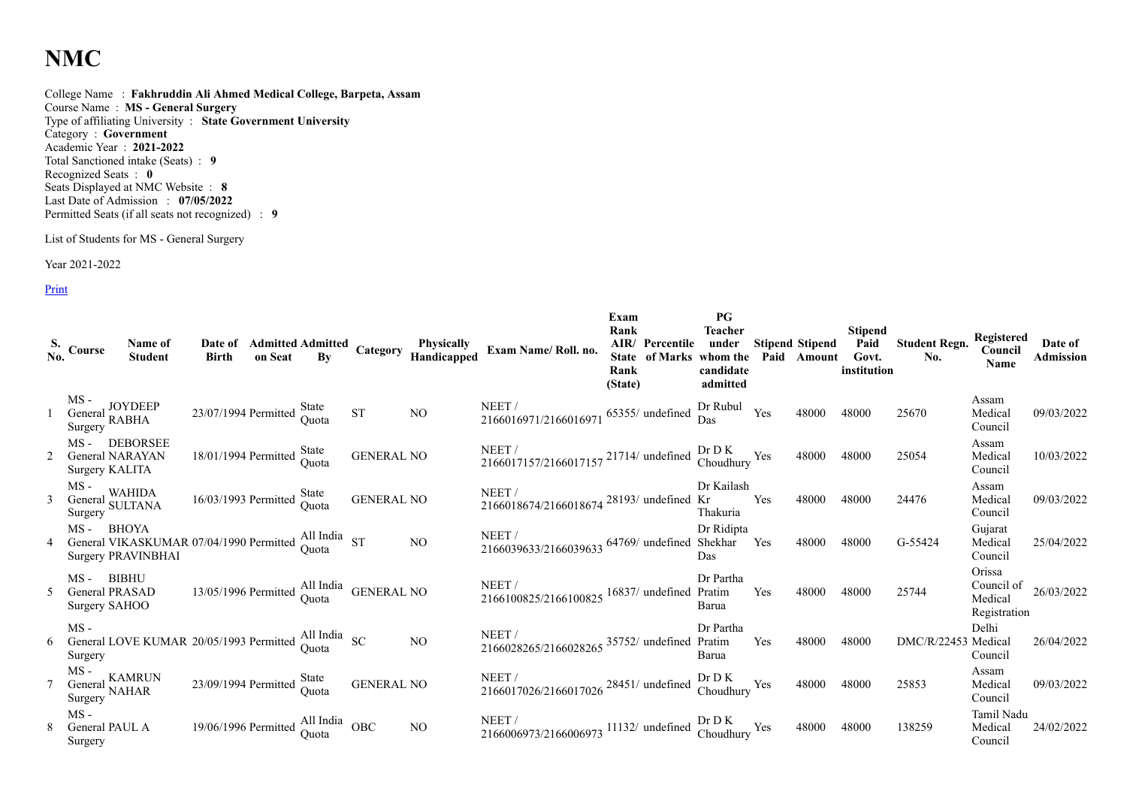## **NMC**

College Name : **Fakhruddin Ali Ahmed Medical College, Barpeta, Assam** Course Name : **MS - General Surgery** Type of affiliating University : **State Government University** Category : **Government** Academic Year : **2021-2022** Total Sanctioned intake (Seats) : **9** Recognized Seats : **0** Seats Displayed at NMC Website : **8** Last Date of Admission : **07/05/2022** Permitted Seats (if all seats not recognized) : **9**

## List of Students for MS - General Surgery

Year 2021-2022

Print

| S. Course<br>No.                                                | Name of<br><b>Student</b>                                                                                                                | Date of<br><b>Birth</b>                                                   |                |                   | <b>Admitted Admitted Category Physically<br/>on Seat By Category Handicapped</b> | Exam Name/Roll. no.                                                      | Exam<br>Rank<br>Rank<br>(State) | AIR/ Percentile  | PG<br><b>Teacher</b><br>under<br>State of Marks whom the<br>candidate<br>admitted |     | <b>Stipend Stipend</b><br>Paid Amount | <b>Stipend</b><br>Paid<br>Govt.<br>institution | <b>Student Regn.</b><br>No. | Registered<br>Council<br>Name                   | Date of<br>Admission |
|-----------------------------------------------------------------|------------------------------------------------------------------------------------------------------------------------------------------|---------------------------------------------------------------------------|----------------|-------------------|----------------------------------------------------------------------------------|--------------------------------------------------------------------------|---------------------------------|------------------|-----------------------------------------------------------------------------------|-----|---------------------------------------|------------------------------------------------|-----------------------------|-------------------------------------------------|----------------------|
| $MS -$<br>MS -<br>General JOYDEEP<br>Surgomy RABHA<br>Surgery   |                                                                                                                                          | 23/07/1994 Permitted State<br>Quota                                       |                | <b>ST</b>         | NO.                                                                              | NEET/<br>2166016971/2166016971                                           |                                 | 65355/ undefined | Dr Rubul<br>Das                                                                   | Yes | 48000                                 | 48000                                          | 25670                       | Assam<br>Medical<br>Council                     | 09/03/2022           |
| $MS -$<br>General NARAYAN<br>Surgery KALITA                     | DEBORSEE                                                                                                                                 | 18/01/1994 Permitted                                                      | State<br>Ouota | <b>GENERAL NO</b> |                                                                                  | NEET/<br>NEET /<br>2166017157/2166017157 21714/ undefined Choudhury Yes  |                                 |                  |                                                                                   |     | 48000                                 | 48000                                          | 25054                       | Assam<br>Medical<br>Council                     | 10/03/2022           |
| $MS -$<br>$~\sim 1$ WAHIDA<br>General WAHIDA<br>Surgery SULTANA |                                                                                                                                          | 16/03/1993 Permitted                                                      | State<br>Quota | <b>GENERAL NO</b> |                                                                                  | NEET/<br>2166018674/2166018674 <sup>28193</sup> / undefined Kr           |                                 |                  | Dr Kailash<br>Thakuria                                                            | Yes | 48000                                 | 48000                                          | 24476                       | Assam<br>Medical<br>Council                     | 09/03/2022           |
| MS -                                                            | BHOYA<br>General VIKASKUMAR 07/04/1990 Permitted All India<br>General VIKASKUMAR 07/04/1990 Permitted Quota<br><b>Surgery PRAVINBHAI</b> |                                                                           |                |                   | N <sub>O</sub>                                                                   | NEET/<br>2166039633/2166039633 64769/ undefined Shekhar Yes              |                                 |                  | Dr Ridipta<br><b>Das</b>                                                          |     | 48000                                 | 48000                                          | G-55424                     | Gujarat<br>Medical<br>Council                   | 25/04/2022           |
| MS- BIBHU<br>General PRASAD<br>Surgery SAHOO                    |                                                                                                                                          | $13/05/1996$ Permitted $\frac{\text{All India}}{\text{Quota}}$ GENERAL NO |                |                   |                                                                                  | NEET /<br>2166100825/2166100825 16837/ undefined Pratim                  |                                 |                  | Dr Partha<br>Barua                                                                | Yes | 48000                                 | 48000                                          | 25744                       | Orissa<br>Council of<br>Medical<br>Registration | 26/03/2022           |
| $MS -$<br>Surgery                                               | General LOVE KUMAR 20/05/1993 Permitted All India<br>Superior                                                                            |                                                                           |                |                   | N <sub>O</sub>                                                                   | NEET/<br>2166028265/2166028265 35752/ undefined Pratim                   |                                 |                  | Dr Partha<br>Barua                                                                | Yes | 48000                                 | 48000                                          | DMC/R/22453 Medical         | Delhi<br>Council                                | 26/04/2022           |
| $MS -$<br>General KAMRUI<br>Surgery NAHAR                       | , KAMRUN                                                                                                                                 | 23/09/1994 Permitted                                                      | State<br>Ouota | <b>GENERAL NO</b> |                                                                                  | NEET/<br>2166017026/2166017026 <sup>28451/</sup> undefined               |                                 |                  | Dr D K<br>Choudhury Yes                                                           |     | 48000                                 | 48000                                          | 25853                       | Assam<br>Medical<br>Council                     | 09/03/2022           |
| $MS -$<br>General PAUL A<br>Surgery                             |                                                                                                                                          | 19/06/1996 Permitted $\frac{\text{All India}}{\text{Quota}}$ OBC          |                |                   | NO.                                                                              | NEET /<br>2166006973/2166006973 11132/ undefined Dr D K<br>Choudhury Yes |                                 |                  |                                                                                   |     | 48000                                 | 48000                                          | 138259                      | Tamil Nadu<br>Medical<br>Council                | 24/02/2022           |